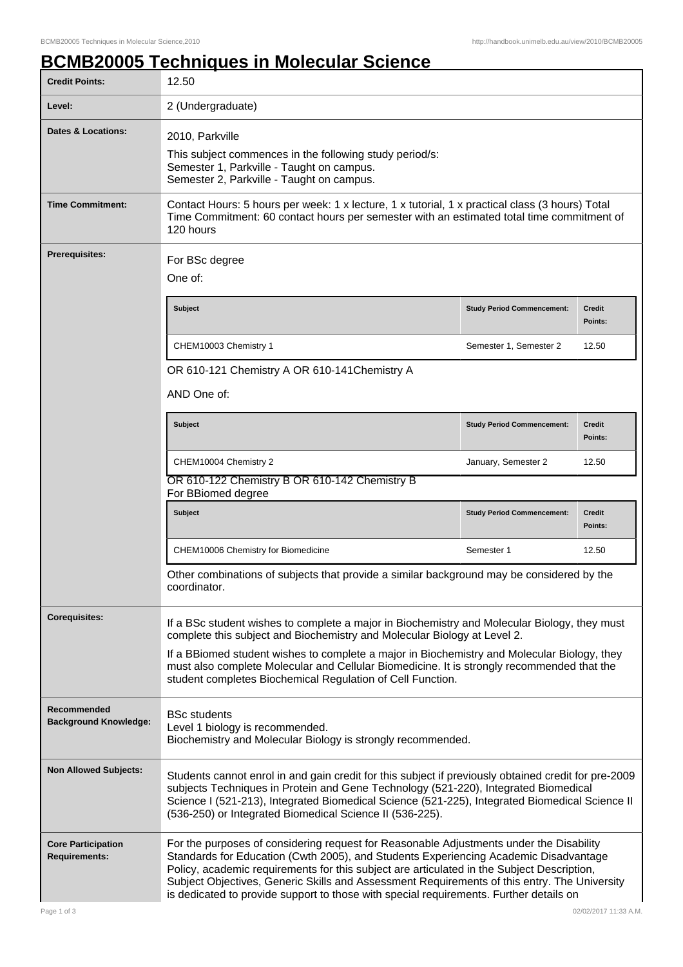## **BCMB20005 Techniques in Molecular Science**

| <b>Credit Points:</b>                             | 12.50                                                                                                                                                                                                                                                                                                                                                                                                                                                                   |                                   |                          |  |
|---------------------------------------------------|-------------------------------------------------------------------------------------------------------------------------------------------------------------------------------------------------------------------------------------------------------------------------------------------------------------------------------------------------------------------------------------------------------------------------------------------------------------------------|-----------------------------------|--------------------------|--|
| Level:                                            | 2 (Undergraduate)                                                                                                                                                                                                                                                                                                                                                                                                                                                       |                                   |                          |  |
| <b>Dates &amp; Locations:</b>                     | 2010, Parkville<br>This subject commences in the following study period/s:<br>Semester 1, Parkville - Taught on campus.<br>Semester 2, Parkville - Taught on campus.                                                                                                                                                                                                                                                                                                    |                                   |                          |  |
| <b>Time Commitment:</b>                           | Contact Hours: 5 hours per week: 1 x lecture, 1 x tutorial, 1 x practical class (3 hours) Total<br>Time Commitment: 60 contact hours per semester with an estimated total time commitment of<br>120 hours                                                                                                                                                                                                                                                               |                                   |                          |  |
| <b>Prerequisites:</b>                             | For BSc degree<br>One of:                                                                                                                                                                                                                                                                                                                                                                                                                                               |                                   |                          |  |
|                                                   | <b>Subject</b>                                                                                                                                                                                                                                                                                                                                                                                                                                                          | <b>Study Period Commencement:</b> | <b>Credit</b><br>Points: |  |
|                                                   | CHEM10003 Chemistry 1                                                                                                                                                                                                                                                                                                                                                                                                                                                   | Semester 1, Semester 2            | 12.50                    |  |
|                                                   | OR 610-121 Chemistry A OR 610-141 Chemistry A                                                                                                                                                                                                                                                                                                                                                                                                                           |                                   |                          |  |
| AND One of:                                       |                                                                                                                                                                                                                                                                                                                                                                                                                                                                         |                                   |                          |  |
|                                                   | <b>Subject</b>                                                                                                                                                                                                                                                                                                                                                                                                                                                          | <b>Study Period Commencement:</b> | <b>Credit</b><br>Points: |  |
|                                                   | CHEM10004 Chemistry 2                                                                                                                                                                                                                                                                                                                                                                                                                                                   | January, Semester 2               | 12.50                    |  |
|                                                   | OR 610-122 Chemistry B OR 610-142 Chemistry B<br>For BBiomed degree                                                                                                                                                                                                                                                                                                                                                                                                     |                                   |                          |  |
|                                                   | <b>Subject</b>                                                                                                                                                                                                                                                                                                                                                                                                                                                          | <b>Study Period Commencement:</b> | Credit<br>Points:        |  |
|                                                   | CHEM10006 Chemistry for Biomedicine                                                                                                                                                                                                                                                                                                                                                                                                                                     | Semester 1                        | 12.50                    |  |
|                                                   | Other combinations of subjects that provide a similar background may be considered by the<br>coordinator.                                                                                                                                                                                                                                                                                                                                                               |                                   |                          |  |
| <b>Corequisites:</b>                              | If a BSc student wishes to complete a major in Biochemistry and Molecular Biology, they must<br>complete this subject and Biochemistry and Molecular Biology at Level 2.<br>If a BBiomed student wishes to complete a major in Biochemistry and Molecular Biology, they<br>must also complete Molecular and Cellular Biomedicine. It is strongly recommended that the<br>student completes Biochemical Regulation of Cell Function.                                     |                                   |                          |  |
|                                                   |                                                                                                                                                                                                                                                                                                                                                                                                                                                                         |                                   |                          |  |
| Recommended<br><b>Background Knowledge:</b>       | <b>BSc students</b><br>Level 1 biology is recommended.<br>Biochemistry and Molecular Biology is strongly recommended.                                                                                                                                                                                                                                                                                                                                                   |                                   |                          |  |
| <b>Non Allowed Subjects:</b>                      | Students cannot enrol in and gain credit for this subject if previously obtained credit for pre-2009<br>subjects Techniques in Protein and Gene Technology (521-220), Integrated Biomedical<br>Science I (521-213), Integrated Biomedical Science (521-225), Integrated Biomedical Science II<br>(536-250) or Integrated Biomedical Science II (536-225).                                                                                                               |                                   |                          |  |
| <b>Core Participation</b><br><b>Requirements:</b> | For the purposes of considering request for Reasonable Adjustments under the Disability<br>Standards for Education (Cwth 2005), and Students Experiencing Academic Disadvantage<br>Policy, academic requirements for this subject are articulated in the Subject Description,<br>Subject Objectives, Generic Skills and Assessment Requirements of this entry. The University<br>is dedicated to provide support to those with special requirements. Further details on |                                   |                          |  |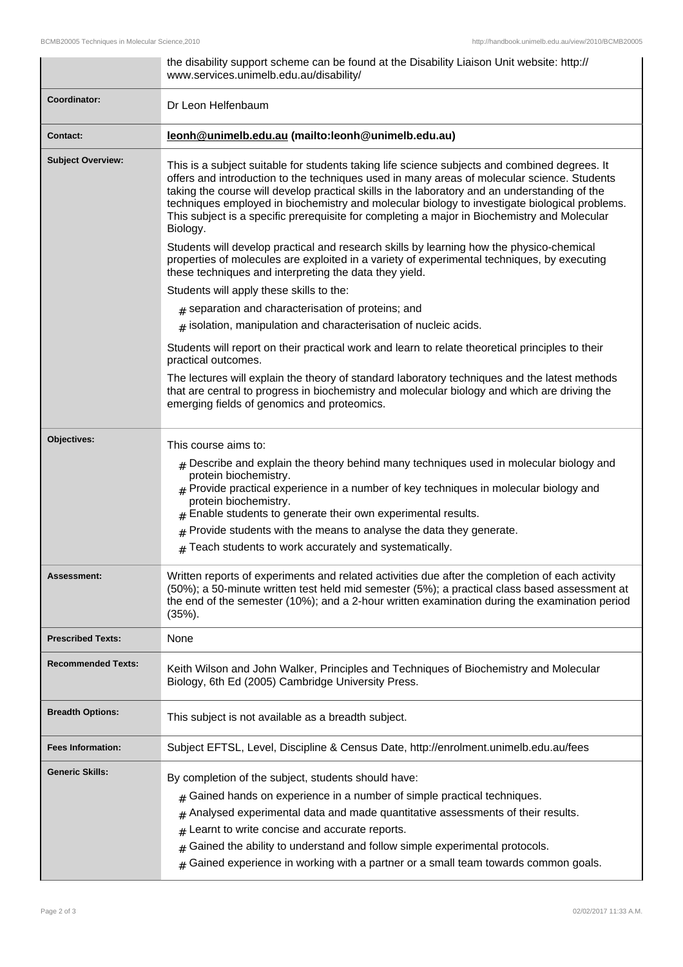|                           | the disability support scheme can be found at the Disability Liaison Unit website: http://<br>www.services.unimelb.edu.au/disability/                                                                                                                                                                                                                                                                                                                                                                      |  |
|---------------------------|------------------------------------------------------------------------------------------------------------------------------------------------------------------------------------------------------------------------------------------------------------------------------------------------------------------------------------------------------------------------------------------------------------------------------------------------------------------------------------------------------------|--|
| Coordinator:              | Dr Leon Helfenbaum                                                                                                                                                                                                                                                                                                                                                                                                                                                                                         |  |
| <b>Contact:</b>           | leonh@unimelb.edu.au (mailto:leonh@unimelb.edu.au)                                                                                                                                                                                                                                                                                                                                                                                                                                                         |  |
| <b>Subject Overview:</b>  | This is a subject suitable for students taking life science subjects and combined degrees. It<br>offers and introduction to the techniques used in many areas of molecular science. Students<br>taking the course will develop practical skills in the laboratory and an understanding of the<br>techniques employed in biochemistry and molecular biology to investigate biological problems.<br>This subject is a specific prerequisite for completing a major in Biochemistry and Molecular<br>Biology. |  |
|                           | Students will develop practical and research skills by learning how the physico-chemical<br>properties of molecules are exploited in a variety of experimental techniques, by executing<br>these techniques and interpreting the data they yield.                                                                                                                                                                                                                                                          |  |
|                           | Students will apply these skills to the:                                                                                                                                                                                                                                                                                                                                                                                                                                                                   |  |
|                           | $#$ separation and characterisation of proteins; and                                                                                                                                                                                                                                                                                                                                                                                                                                                       |  |
|                           | $_{\#}$ isolation, manipulation and characterisation of nucleic acids.                                                                                                                                                                                                                                                                                                                                                                                                                                     |  |
|                           | Students will report on their practical work and learn to relate theoretical principles to their<br>practical outcomes.                                                                                                                                                                                                                                                                                                                                                                                    |  |
|                           | The lectures will explain the theory of standard laboratory techniques and the latest methods<br>that are central to progress in biochemistry and molecular biology and which are driving the<br>emerging fields of genomics and proteomics.                                                                                                                                                                                                                                                               |  |
| Objectives:               | This course aims to:                                                                                                                                                                                                                                                                                                                                                                                                                                                                                       |  |
|                           | $*$ Describe and explain the theory behind many techniques used in molecular biology and<br>protein biochemistry.<br>$*$ Provide practical experience in a number of key techniques in molecular biology and<br>protein biochemistry.<br>$#$ Enable students to generate their own experimental results.<br>Provide students with the means to analyse the data they generate.<br>#                                                                                                                        |  |
|                           | Teach students to work accurately and systematically.<br>$\#$                                                                                                                                                                                                                                                                                                                                                                                                                                              |  |
| Assessment:               | Written reports of experiments and related activities due after the completion of each activity<br>(50%); a 50-minute written test held mid semester (5%); a practical class based assessment at<br>the end of the semester (10%); and a 2-hour written examination during the examination period<br>$(35%)$ .                                                                                                                                                                                             |  |
| <b>Prescribed Texts:</b>  | None                                                                                                                                                                                                                                                                                                                                                                                                                                                                                                       |  |
| <b>Recommended Texts:</b> | Keith Wilson and John Walker, Principles and Techniques of Biochemistry and Molecular<br>Biology, 6th Ed (2005) Cambridge University Press.                                                                                                                                                                                                                                                                                                                                                                |  |
| <b>Breadth Options:</b>   | This subject is not available as a breadth subject.                                                                                                                                                                                                                                                                                                                                                                                                                                                        |  |
| <b>Fees Information:</b>  | Subject EFTSL, Level, Discipline & Census Date, http://enrolment.unimelb.edu.au/fees                                                                                                                                                                                                                                                                                                                                                                                                                       |  |
| <b>Generic Skills:</b>    | By completion of the subject, students should have:<br>Gained hands on experience in a number of simple practical techniques.<br>#<br>Analysed experimental data and made quantitative assessments of their results.<br>#<br>Learnt to write concise and accurate reports.<br>#<br>Gained the ability to understand and follow simple experimental protocols.<br>#<br>Gained experience in working with a partner or a small team towards common goals.<br>#                                               |  |